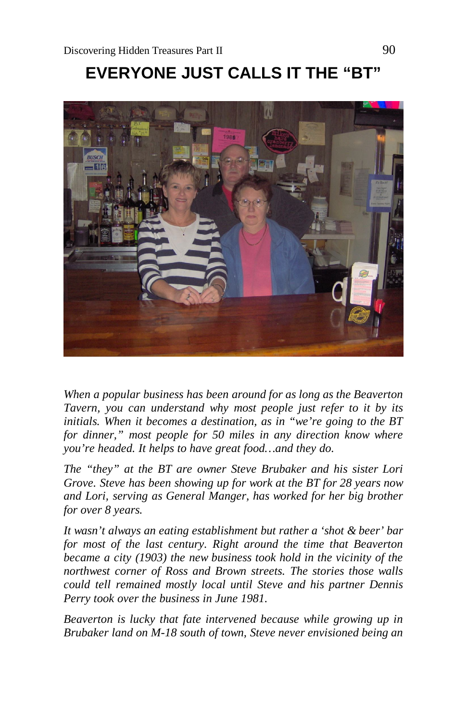# **EVERYONE JUST CALLS IT THE "BT"**



*When a popular business has been around for as long as the Beaverton Tavern, you can understand why most people just refer to it by its initials. When it becomes a destination, as in "we're going to the BT for dinner," most people for 50 miles in any direction know where you're headed. It helps to have great food…and they do.*

*The "they" at the BT are owner Steve Brubaker and his sister Lori Grove. Steve has been showing up for work at the BT for 28 years now and Lori, serving as General Manger, has worked for her big brother for over 8 years.*

*It wasn't always an eating establishment but rather a 'shot & beer' bar for most of the last century. Right around the time that Beaverton became a city (1903) the new business took hold in the vicinity of the northwest corner of Ross and Brown streets. The stories those walls could tell remained mostly local until Steve and his partner Dennis Perry took over the business in June 1981.*

*Beaverton is lucky that fate intervened because while growing up in Brubaker land on M-18 south of town, Steve never envisioned being an*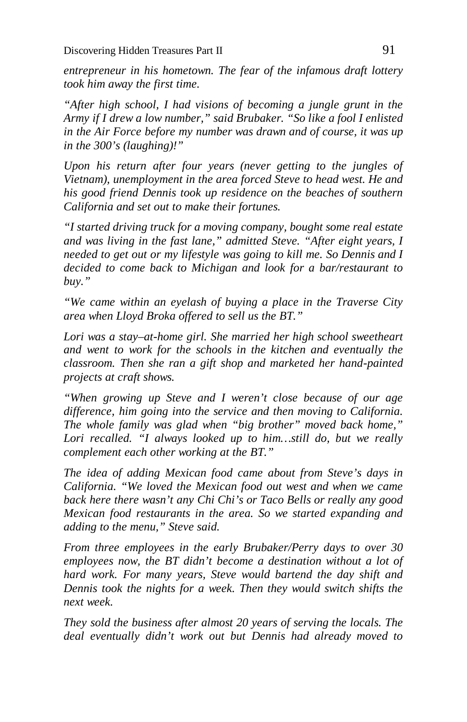*entrepreneur in his hometown. The fear of the infamous draft lottery took him away the first time.*

*"After high school, I had visions of becoming a jungle grunt in the Army if I drew a low number," said Brubaker. "So like a fool I enlisted in the Air Force before my number was drawn and of course, it was up in the 300's (laughing)!"* 

*Upon his return after four years (never getting to the jungles of Vietnam), unemployment in the area forced Steve to head west. He and his good friend Dennis took up residence on the beaches of southern California and set out to make their fortunes.*

*"I started driving truck for a moving company, bought some real estate and was living in the fast lane," admitted Steve. "After eight years, I needed to get out or my lifestyle was going to kill me. So Dennis and I decided to come back to Michigan and look for a bar/restaurant to buy."*

*"We came within an eyelash of buying a place in the Traverse City area when Lloyd Broka offered to sell us the BT."*

*Lori was a stay–at-home girl. She married her high school sweetheart and went to work for the schools in the kitchen and eventually the classroom. Then she ran a gift shop and marketed her hand-painted projects at craft shows.*

*"When growing up Steve and I weren't close because of our age difference, him going into the service and then moving to California. The whole family was glad when "big brother" moved back home," Lori recalled. "I always looked up to him…still do, but we really complement each other working at the BT."*

*The idea of adding Mexican food came about from Steve's days in California. "We loved the Mexican food out west and when we came back here there wasn't any Chi Chi's or Taco Bells or really any good Mexican food restaurants in the area. So we started expanding and adding to the menu," Steve said.*

*From three employees in the early Brubaker/Perry days to over 30 employees now, the BT didn't become a destination without a lot of hard work. For many years, Steve would bartend the day shift and Dennis took the nights for a week. Then they would switch shifts the next week.*

*They sold the business after almost 20 years of serving the locals. The deal eventually didn't work out but Dennis had already moved to*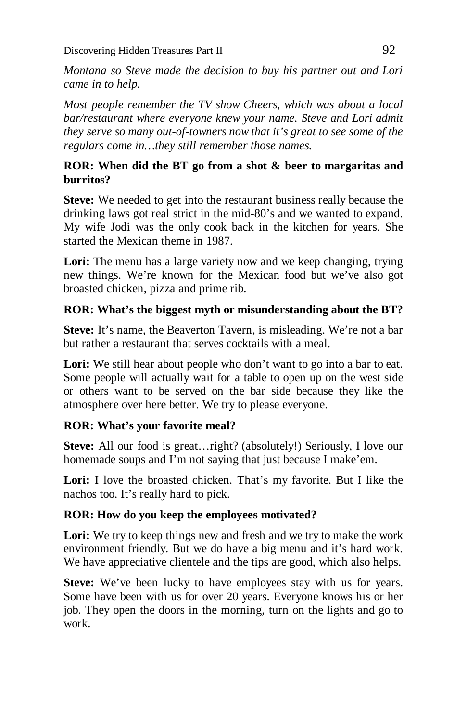*Montana so Steve made the decision to buy his partner out and Lori came in to help.* 

*Most people remember the TV show Cheers, which was about a local bar/restaurant where everyone knew your name. Steve and Lori admit they serve so many out-of-towners now that it's great to see some of the regulars come in…they still remember those names.*

## **ROR: When did the BT go from a shot & beer to margaritas and burritos?**

**Steve:** We needed to get into the restaurant business really because the drinking laws got real strict in the mid-80's and we wanted to expand. My wife Jodi was the only cook back in the kitchen for years. She started the Mexican theme in 1987.

Lori: The menu has a large variety now and we keep changing, trying new things. We're known for the Mexican food but we've also got broasted chicken, pizza and prime rib.

# **ROR: What's the biggest myth or misunderstanding about the BT?**

**Steve:** It's name, the Beaverton Tavern, is misleading. We're not a bar but rather a restaurant that serves cocktails with a meal.

Lori: We still hear about people who don't want to go into a bar to eat. Some people will actually wait for a table to open up on the west side or others want to be served on the bar side because they like the atmosphere over here better. We try to please everyone.

# **ROR: What's your favorite meal?**

Steve: All our food is great...right? (absolutely!) Seriously, I love our homemade soups and I'm not saying that just because I make'em.

Lori: I love the broasted chicken. That's my favorite. But I like the nachos too. It's really hard to pick.

# **ROR: How do you keep the employees motivated?**

Lori: We try to keep things new and fresh and we try to make the work environment friendly. But we do have a big menu and it's hard work. We have appreciative clientele and the tips are good, which also helps.

**Steve:** We've been lucky to have employees stay with us for years. Some have been with us for over 20 years. Everyone knows his or her job. They open the doors in the morning, turn on the lights and go to work.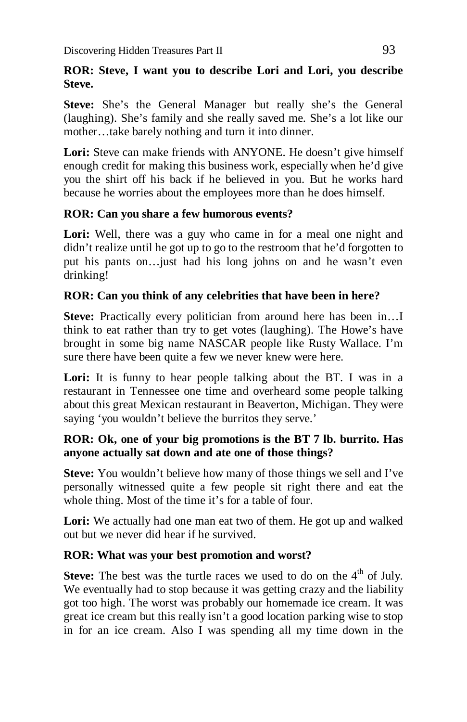#### **ROR: Steve, I want you to describe Lori and Lori, you describe Steve.**

**Steve:** She's the General Manager but really she's the General (laughing). She's family and she really saved me. She's a lot like our mother…take barely nothing and turn it into dinner.

Lori: Steve can make friends with ANYONE. He doesn't give himself enough credit for making this business work, especially when he'd give you the shirt off his back if he believed in you. But he works hard because he worries about the employees more than he does himself.

## **ROR: Can you share a few humorous events?**

Lori: Well, there was a guy who came in for a meal one night and didn't realize until he got up to go to the restroom that he'd forgotten to put his pants on…just had his long johns on and he wasn't even drinking!

# **ROR: Can you think of any celebrities that have been in here?**

**Steve:** Practically every politician from around here has been in... think to eat rather than try to get votes (laughing). The Howe's have brought in some big name NASCAR people like Rusty Wallace. I'm sure there have been quite a few we never knew were here.

Lori: It is funny to hear people talking about the BT. I was in a restaurant in Tennessee one time and overheard some people talking about this great Mexican restaurant in Beaverton, Michigan. They were saying 'you wouldn't believe the burritos they serve.'

## **ROR: Ok, one of your big promotions is the BT 7 lb. burrito. Has anyone actually sat down and ate one of those things?**

**Steve:** You wouldn't believe how many of those things we sell and I've personally witnessed quite a few people sit right there and eat the whole thing. Most of the time it's for a table of four.

**Lori:** We actually had one man eat two of them. He got up and walked out but we never did hear if he survived.

#### **ROR: What was your best promotion and worst?**

**Steve:** The best was the turtle races we used to do on the 4<sup>th</sup> of July. We eventually had to stop because it was getting crazy and the liability got too high. The worst was probably our homemade ice cream. It was great ice cream but this really isn't a good location parking wise to stop in for an ice cream. Also I was spending all my time down in the